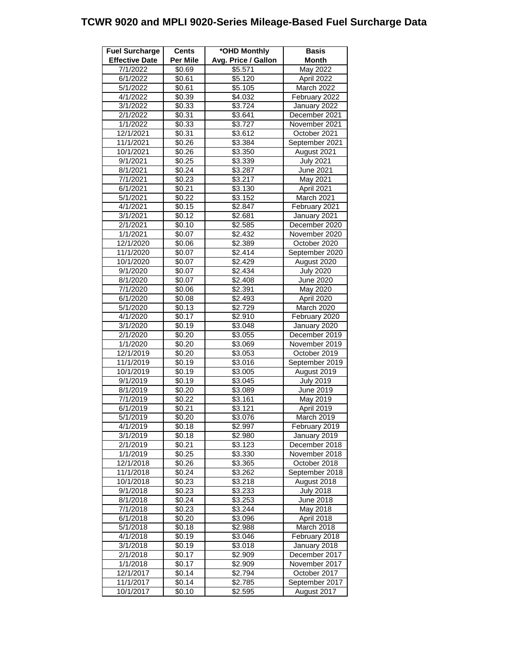## **TCWR 9020 and MPLI 9020-Series Mileage-Based Fuel Surcharge Data**

| <b>Fuel Surcharge</b> | <b>Cents</b>       | *OHD Monthly        | <b>Basis</b>     |
|-----------------------|--------------------|---------------------|------------------|
| <b>Effective Date</b> | <b>Per Mile</b>    | Avg. Price / Gallon | <b>Month</b>     |
| 7/1/2022              | \$0.69             | \$5.571             | May 2022         |
| 6/1/2022              | \$0.61             | \$5.120             | April 2022       |
| 5/1/2022              | \$0.61             | \$5.105             | March 2022       |
| 4/1/2022              | \$0.39             | \$4.032             | February 2022    |
| 3/1/2022              | \$0.33             | \$3.724             | January 2022     |
| 2/1/2022              | \$0.31             | \$3.641             | December 2021    |
| 1/1/2022              | $\overline{$}0.33$ | \$3.727             | November 2021    |
| 12/1/2021             | \$0.31             | \$3.612             | October 2021     |
| 11/1/2021             | \$0.26             | \$3.384             | September 2021   |
| 10/1/2021             | \$0.26             | \$3.350             | August 2021      |
| 9/1/2021              |                    | \$3.339             |                  |
|                       | \$0.25             |                     | <b>July 2021</b> |
| 8/1/2021              | \$0.24             | \$3.287             | June 2021        |
| 7/1/2021              | \$0.23             | \$3.217             | May 2021         |
| 6/1/2021              | \$0.21             | \$3.130             | April 2021       |
| 5/1/2021              | \$0.22             | \$3.152             | March 2021       |
| 4/1/2021              | \$0.15             | \$2.847             | February 2021    |
| 3/1/2021              | \$0.12             | \$2.681             | January 2021     |
| 2/1/2021              | \$0.10             | \$2.585             | December 2020    |
| 1/1/2021              | \$0.07             | \$2.432             | November 2020    |
| 12/1/2020             | $\overline{$}0.06$ | \$2.389             | October 2020     |
| 11/1/2020             | $\sqrt{$0.07}$     | \$2.414             | September 2020   |
| 10/1/2020             | \$0.07             | $\sqrt{$2.429}$     | August 2020      |
| 9/1/2020              | $\sqrt{$0.07}$     | \$2.434             | <b>July 2020</b> |
| 8/1/2020              | \$0.07             | \$2.408             | <b>June 2020</b> |
| 7/1/2020              | \$0.06             | \$2.391             | May 2020         |
| 6/1/2020              | $\overline{$}0.08$ | \$2.493             | April 2020       |
| 5/1/2020              | \$0.13             | \$2.729             | March 2020       |
| 4/1/2020              | \$0.17             | \$2.910             | February 2020    |
| 3/1/2020              | \$0.19             | \$3.048             | January 2020     |
| 2/1/2020              | \$0.20             | \$3.055             | December 2019    |
| 1/1/2020              | $\sqrt{$0.20}$     | \$3.069             | November 2019    |
| 12/1/2019             | \$0.20             | \$3.053             | October 2019     |
| 11/1/2019             | $\sqrt{$}0.19$     | $\overline{$}3.016$ | September 2019   |
| 10/1/2019             | \$0.19             | $\overline{$}3.005$ | August 2019      |
| 9/1/2019              | \$0.19             | \$3.045             | <b>July 2019</b> |
| 8/1/2019              | \$0.20             | \$3.089             | <b>June 2019</b> |
| 7/1/2019              | \$0.22             | \$3.161             | May 2019         |
| 6/1/2019              | $\sqrt{20.21}$     | \$3.121             | April 2019       |
| 5/1/2019              | \$0.20             | \$3.076             | March 2019       |
|                       |                    |                     |                  |
| 4/1/2019              | \$0.18             | \$2.997             | February 2019    |
| 3/1/2019              | \$0.18             | \$2.980             | January 2019     |
| 2/1/2019              | \$0.21             | \$3.123             | December 2018    |
| 1/1/2019              | \$0.25             | \$3.330             | November 2018    |
| 12/1/2018             | \$0.26             | \$3.365             | October 2018     |
| 11/1/2018             | \$0.24             | \$3.262             | September 2018   |
| 10/1/2018             | \$0.23             | $\overline{$}3.218$ | August 2018      |
| 9/1/2018              | \$0.23             | \$3.233             | <b>July 2018</b> |
| 8/1/2018              | \$0.24             | \$3.253             | June $2018$      |
| 7/1/2018              | \$0.23             | $\sqrt{$3.244}$     | May 2018         |
| 6/1/2018              | \$0.20             | \$3.096             | April 2018       |
| 5/1/2018              | \$0.18             | \$2.988             | March 2018       |
| 4/1/2018              | \$0.19             | \$3.046             | February 2018    |
| 3/1/2018              | \$0.19             | \$3.018             | January 2018     |
| 2/1/2018              | \$0.17             | \$2.909             | December 2017    |
| 1/1/2018              | \$0.17             | \$2.909             | November 2017    |
| 12/1/2017             | \$0.14             | \$2.794             | October 2017     |
| 11/1/2017             | \$0.14             | \$2.785             | September 2017   |
| 10/1/2017             | \$0.10             | \$2.595             | August 2017      |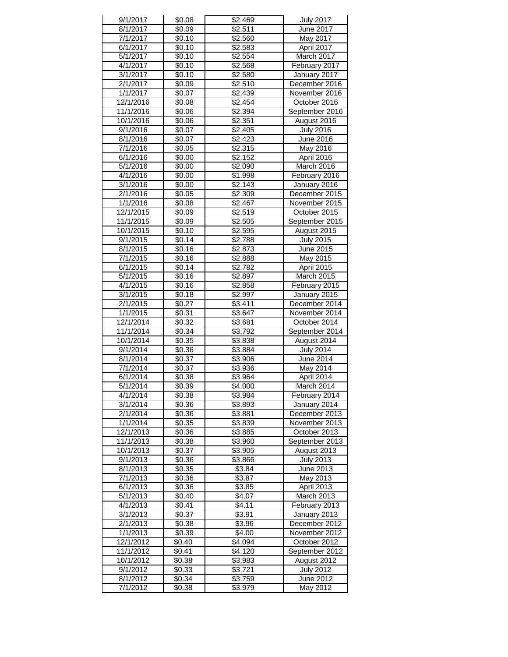| 9/1/2017  | \$0.08             | \$2.469             | <b>July 2017</b>  |
|-----------|--------------------|---------------------|-------------------|
| 8/1/2017  | \$0.09             | \$2.511             | June 2017         |
| 7/1/2017  | \$0.10             | \$2.560             | May 2017          |
| 6/1/2017  | \$0.10             | \$2.583             | April 2017        |
| 5/1/2017  | \$0.10             | \$2.554             | March 2017        |
| 4/1/2017  | \$0.10             | \$2.568             | February 2017     |
| 3/1/2017  | \$0.10             | \$2.580             | January 2017      |
| 2/1/2017  | \$0.09             | \$2.510             | December 2016     |
| 1/1/2017  | \$0.07             | \$2.439             | November 2016     |
| 12/1/2016 | \$0.08             | \$2.454             | October 2016      |
| 11/1/2016 | \$0.06             | \$2.394             | September 2016    |
| 10/1/2016 | \$0.06             | \$2.351             | August 2016       |
| 9/1/2016  | \$0.07             | \$2.405             | <b>July 2016</b>  |
| 8/1/2016  | \$0.07             | $\overline{$}2.423$ | June 2016         |
| 7/1/2016  | \$0.05             | \$2.315             | May 2016          |
| 6/1/2016  | \$0.00             | \$2.152             | April 2016        |
| 5/1/2016  | \$0.00             | \$2.090             | March 2016        |
| 4/1/2016  | \$0.00             | \$1.998             | February 2016     |
| 3/1/2016  | \$0.00             | \$2.143             | January 2016      |
| 2/1/2016  | \$0.05             | \$2.309             | December 2015     |
| 1/1/2016  | \$0.08             | \$2.467             | November 2015     |
| 12/1/2015 | \$0.09             | \$2.519             | October 2015      |
| 11/1/2015 | \$0.09             | \$2.505             | September 2015    |
| 10/1/2015 | \$0.10             | \$2.595             | August 2015       |
| 9/1/2015  | \$0.14             | \$2.788             | <b>July 2015</b>  |
| 8/1/2015  | \$0.16             | \$2.873             | June 2015         |
| 7/1/2015  | \$0.16             | \$2.888             | May 2015          |
| 6/1/2015  | \$0.14             | \$2.782             | April 2015        |
| 5/1/2015  | \$0.16             | \$2.897             | March 2015        |
| 4/1/2015  | \$0.16             | \$2.858             | February 2015     |
| 3/1/2015  | \$0.18             | \$2.997             | January 2015      |
| 2/1/2015  | \$0.27             | \$3.411             | December 2014     |
| 1/1/2015  | \$0.31             | \$3.647             | November 2014     |
| 12/1/2014 | \$0.32             | \$3.681             | October 2014      |
| 11/1/2014 | \$0.34             | \$3.792             | September 2014    |
| 10/1/2014 | \$0.35             | $\overline{$}3.838$ | August 2014       |
| 9/1/2014  | \$0.36             | \$3.884             | <b>July 2014</b>  |
| 8/1/2014  | \$0.37             | \$3.906             | June 2014         |
| 7/1/2014  | $\overline{$}0.37$ | $\overline{$}3.936$ | May 2014          |
| 6/1/2014  | \$0.38             | \$3.964             | April 2014        |
| 5/1/2014  | \$0.39             | \$4.000             | March 2014        |
| 4/1/2014  | \$0.38             | \$3.984             | February 2014     |
| 3/1/2014  | \$0.36             | \$3.893             | January 2014      |
| 2/1/2014  | \$0.36             | \$3.881             | December 2013     |
| 1/1/2014  | \$0.35             | \$3.839             | November 2013     |
| 12/1/2013 | \$0.36             | \$3.885             | October 2013      |
| 11/1/2013 | \$0.38             | \$3.960             | September 2013    |
| 10/1/2013 | \$0.37             | \$3.905             | August 2013       |
| 9/1/2013  | \$0.36             | \$3.866             | <b>July 2013</b>  |
| 8/1/2013  | \$0.35             | \$3.84              | June 2013         |
| 7/1/2013  | \$0.36             | \$3.87              | May 2013          |
| 6/1/2013  | \$0.36             | \$3.85              | April 2013        |
| 5/1/2013  | \$0.40             | \$4.07              | <b>March 2013</b> |
| 4/1/2013  | \$0.41             | \$4.11              | February 2013     |
| 3/1/2013  | \$0.37             | \$3.91              | January 2013      |
| 2/1/2013  | \$0.38             | \$3.96              | December 2012     |
| 1/1/2013  | \$0.39             | \$4.00              | November 2012     |
| 12/1/2012 | \$0.40             | \$4.094             | October 2012      |
| 11/1/2012 | \$0.41             | \$4.120             | September 2012    |
| 10/1/2012 | \$0.38             | \$3.983             | August 2012       |
| 9/1/2012  | \$0.33             | \$3.721             | <b>July 2012</b>  |
| 8/1/2012  | \$0.34             | \$3.759             | June 2012         |
| 7/1/2012  | \$0.38             | \$3.979             | May 2012          |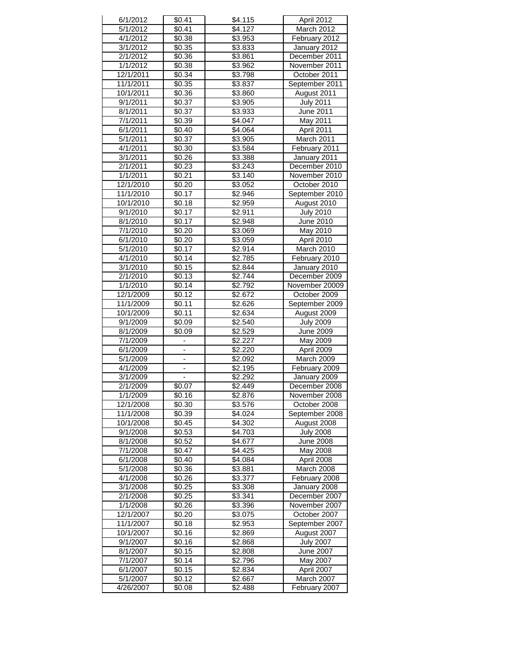| 6/1/2012              | \$0.41                   | \$4.115             | April 2012                  |
|-----------------------|--------------------------|---------------------|-----------------------------|
| 5/1/2012              | \$0.41                   | \$4.127             | March 2012                  |
| 4/1/2012              | \$0.38                   | \$3.953             | February 2012               |
| 3/1/2012              | \$0.35                   | \$3.833             | January 2012                |
| 2/1/2012              | \$0.36                   | \$3.861             | December 2011               |
| 1/1/2012              | \$0.38                   | \$3.962             | November 2011               |
| 12/1/2011             | \$0.34                   | \$3.798             | October 2011                |
| 11/1/2011             | \$0.35                   | $\overline{$}3.837$ | September 2011              |
|                       |                          | \$3.860             |                             |
| 10/1/2011             | \$0.36                   |                     | August 2011                 |
| 9/1/2011              | \$0.37                   | $\overline{$}3.905$ | <b>July 2011</b>            |
| 8/1/2011              | \$0.37                   | \$3.933             | June 2011                   |
| 7/1/2011              | \$0.39                   | \$4.047             | May 2011                    |
| 6/1/2011              | \$0.40                   | $\sqrt{34.064}$     | April 2011                  |
| 5/1/2011              | \$0.37                   | \$3.905             | March 2011                  |
| 4/1/2011              | \$0.30                   | \$3.584             | February 2011               |
| 3/1/2011              | \$0.26                   | \$3.388             | January 2011                |
| 2/1/2011              | \$0.23                   | \$3.243             | December 2010               |
| 1/1/2011              | \$0.21                   | \$3.140             | November 2010               |
| 12/1/2010             | \$0.20                   | $\overline{$}3.052$ | October 2010                |
| 11/1/2010             | $\overline{$}0.17$       | \$2.946             | September 2010              |
| 10/1/2010             | \$0.18                   | \$2.959             | August 2010                 |
|                       |                          |                     |                             |
| 9/1/2010              | \$0.17                   | \$2.911             | <b>July 2010</b>            |
| 8/1/2010              | $\overline{$}0.17$       | \$2.948             | June 2010                   |
| 7/1/2010              | \$0.20                   | \$3.069             | May 2010                    |
| 6/1/2010              | \$0.20                   | \$3.059             | April 2010                  |
| 5/1/2010              | $\overline{$}0.17$       | $\sqrt{$2.914}$     | March 2010                  |
| 4/1/2010              | \$0.14                   | \$2.785             | February 2010               |
| 3/1/2010              | \$0.15                   | \$2.844             | January 2010                |
| 2/1/2010              | \$0.13                   | \$2.744             | December 2009               |
| 1/1/2010              | \$0.14                   | \$2.792             | November 20009              |
| 12/1/2009             | \$0.12                   | \$2.672             | October 2009                |
| 11/1/2009             | \$0.11                   | \$2.626             | September 2009              |
| 10/1/2009             | \$0.11                   | \$2.634             | August 2009                 |
| 9/1/2009              | \$0.09                   | \$2.540             | <b>July 2009</b>            |
|                       |                          |                     |                             |
| 8/1/2009              | \$0.09                   | \$2.529             | <b>June 2009</b>            |
| 7/1/2009              |                          | \$2.227             | May 2009                    |
| $\sqrt{6}/1/2009$     |                          | \$2.220             | April 2009                  |
| 5/1/2009              | ÷,                       | \$2.092             | March 2009                  |
| 4/1/2009              | $\frac{1}{2}$            | \$2.195             | February 2009               |
| 3/1/2009              | $\overline{\phantom{a}}$ | \$2.292             | January 2009                |
| $\sqrt{2}/1/2009$     | $\overline{$}0.07$       | \$2.449             | December 2008               |
| 1/1/2009              | \$0.16                   | \$2.876             | November 2008               |
| 12/1/2008             | \$0.30                   | \$3.576             | October 2008                |
| 11/1/2008             | \$0.39                   | \$4.024             | September 2008              |
| 10/1/2008             | $\overline{$}0.45$       | \$4.302             | August 2008                 |
| 9/1/2008              | \$0.53                   | \$4.703             | <b>July 2008</b>            |
| 8/1/2008              | \$0.52                   | \$4.677             | June 2008                   |
| 7/1/2008              | \$0.47                   | \$4.425             | May 2008                    |
|                       |                          |                     |                             |
| 6/1/2008              | \$0.40                   | \$4.084             | April 2008                  |
| 5/1/2008              | \$0.36                   | \$3.881             | March 2008                  |
| 4/1/2008              | \$0.26                   | \$3.377             | February 2008               |
| 3/1/2008              | \$0.25                   | \$3.308             | January 2008                |
| 2/1/2008              |                          |                     |                             |
| 1/1/2008              | \$0.25                   | \$3.341             | December 2007               |
|                       | \$0.26                   | \$3.396             | November 2007               |
| 12/1/2007             | \$0.20                   | \$3.075             | October 2007                |
| 11/1/2007             | \$0.18                   | \$2.953             | September 2007              |
| 10/1/2007             | $\overline{$}0.16$       | \$2.869             |                             |
|                       |                          |                     | August 2007                 |
| 9/1/2007              | \$0.16                   | \$2.868             | <b>July 2007</b>            |
| 8/1/2007              | \$0.15                   | \$2.808             | June 2007                   |
| 7/1/2007              | \$0.14                   | \$2.796             | May 2007                    |
| 6/1/2007              | \$0.15                   | \$2.834             | April 2007                  |
| 5/1/2007<br>4/26/2007 | \$0.12<br>\$0.08         | \$2.667<br>\$2.488  | March 2007<br>February 2007 |